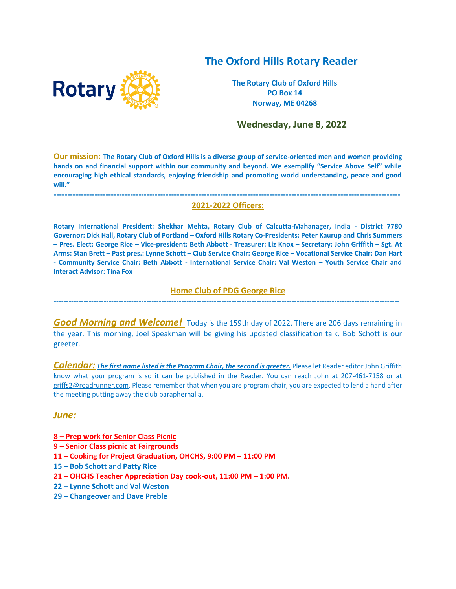# **The Oxford Hills Rotary Reader**



**The Rotary Club of Oxford Hills PO Box 14 Norway, ME 04268**

 **Wednesday, June 8, 2022**

**Our mission: The Rotary Club of Oxford Hills is a diverse group of service-oriented men and women providing hands on and financial support within our community and beyond. We exemplify "Service Above Self" while encouraging high ethical standards, enjoying friendship and promoting world understanding, peace and good will."**

### **------------------------------------------------------------------------------------------------------------------------------- 2021-2022 Officers:**

**Rotary International President: Shekhar Mehta, Rotary Club of Calcutta-Mahanager, India - District 7780 Governor: Dick Hall, Rotary Club of Portland – Oxford Hills Rotary Co-Presidents: Peter Kaurup and Chris Summers – Pres. Elect: George Rice – Vice-president: Beth Abbott - Treasurer: Liz Knox – Secretary: John Griffith – Sgt. At Arms: Stan Brett – Past pres.: Lynne Schott – Club Service Chair: George Rice – Vocational Service Chair: Dan Hart - Community Service Chair: Beth Abbott - International Service Chair: Val Weston – Youth Service Chair and Interact Advisor: Tina Fox**

### **Home Club of PDG George Rice**  ------------------------------------------------------------------------------------------------------------------------------------------

*Good Morning and Welcome!* Today is the 159th day of 2022. There are 206 days remaining in the year. This morning, Joel Speakman will be giving his updated classification talk. Bob Schott is our greeter.

*Calendar: The first name listed is the Program Chair, the second is greeter.* Please let Reader editor John Griffith know what your program is so it can be published in the Reader. You can reach John at 207-461-7158 or at [griffs2@roadrunner.com.](mailto:griffs2@roadrunner.com) Please remember that when you are program chair, you are expected to lend a hand after the meeting putting away the club paraphernalia.

### *June:*

- **8 – Prep work for Senior Class Picnic**
- **9 – Senior Class picnic at Fairgrounds**
- **11 – Cooking for Project Graduation, OHCHS, 9:00 PM – 11:00 PM**
- **15 – Bob Schott** and **Patty Rice**
- **21 – OHCHS Teacher Appreciation Day cook-out, 11:00 PM – 1:00 PM.**
- **22 – Lynne Schott** and **Val Weston**
- **29 – Changeover** and **Dave Preble**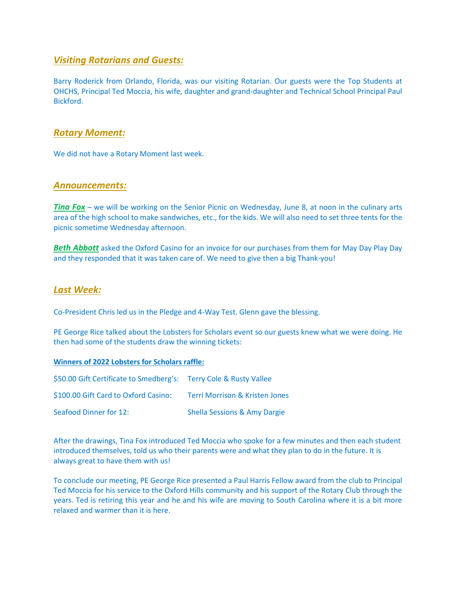# *Visiting Rotarians and Guests:*

Barry Roderick from Orlando, Florida, was our visiting Rotarian. Our guests were the Top Students at OHCHS, Principal Ted Moccia, his wife, daughter and grand-daughter and Technical School Principal Paul Bickford.

### *Rotary Moment:*

We did not have a Rotary Moment last week.

### *Announcements:*

*Tina Fox* – we will be working on the Senior Picnic on Wednesday, June 8, at noon in the culinary arts area of the high school to make sandwiches, etc., for the kids. We will also need to set three tents for the picnic sometime Wednesday afternoon.

**Beth Abbott** asked the Oxford Casino for an invoice for our purchases from them for May Day Play Day and they responded that it was taken care of. We need to give then a big Thank-you!

### *Last Week:*

Co-President Chris led us in the Pledge and 4-Way Test. Glenn gave the blessing.

PE George Rice talked about the Lobsters for Scholars event so our guests knew what we were doing. He then had some of the students draw the winning tickets:

#### **Winners of 2022 Lobsters for Scholars raffle:**

| \$50.00 Gift Certificate to Smedberg's: Terry Cole & Rusty Vallee |                                         |
|-------------------------------------------------------------------|-----------------------------------------|
| \$100.00 Gift Card to Oxford Casino:                              | Terri Morrison & Kristen Jones          |
| Seafood Dinner for 12:                                            | <b>Shella Sessions &amp; Amy Dargie</b> |

After the drawings, Tina Fox introduced Ted Moccia who spoke for a few minutes and then each student introduced themselves, told us who their parents were and what they plan to do in the future. It is always great to have them with us!

To conclude our meeting, PE George Rice presented a Paul Harris Fellow award from the club to Principal Ted Moccia for his service to the Oxford Hills community and his support of the Rotary Club through the years. Ted is retiring this year and he and his wife are moving to South Carolina where it is a bit more relaxed and warmer than it is here.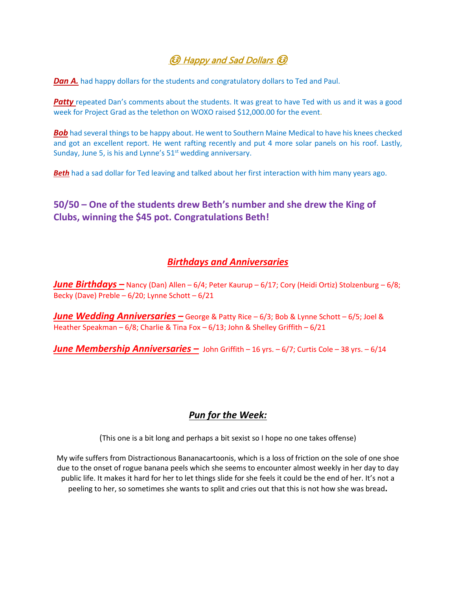# **િ** Happy and Sad Dollars <sup>(</sup>િ

**Dan A.** had happy dollars for the students and congratulatory dollars to Ted and Paul.

**Patty** repeated Dan's comments about the students. It was great to have Ted with us and it was a good week for Project Grad as the telethon on WOXO raised \$12,000.00 for the event.

**Bob** had several things to be happy about. He went to Southern Maine Medical to have his knees checked and got an excellent report. He went rafting recently and put 4 more solar panels on his roof. Lastly, Sunday, June 5, is his and Lynne's  $51<sup>st</sup>$  wedding anniversary.

**Beth** had a sad dollar for Ted leaving and talked about her first interaction with him many years ago.

# **50/50 – One of the students drew Beth's number and she drew the King of Clubs, winning the \$45 pot. Congratulations Beth!**

# *Birthdays and Anniversaries*

*June Birthdays –* Nancy (Dan) Allen – 6/4; Peter Kaurup – 6/17; Cory (Heidi Ortiz) Stolzenburg – 6/8; Becky (Dave) Preble – 6/20; Lynne Schott – 6/21

*June Wedding Anniversaries –* George & Patty Rice – 6/3; Bob & Lynne Schott – 6/5; Joel & Heather Speakman – 6/8; Charlie & Tina Fox – 6/13; John & Shelley Griffith – 6/21

*June Membership Anniversaries –* John Griffith – 16 yrs. – 6/7; Curtis Cole – 38 yrs. – 6/14

# *Pun for the Week:*

(This one is a bit long and perhaps a bit sexist so I hope no one takes offense)

My wife suffers from Distractionous Bananacartoonis, which is a loss of friction on the sole of one shoe due to the onset of rogue banana peels which she seems to encounter almost weekly in her day to day public life. It makes it hard for her to let things slide for she feels it could be the end of her. It's not a peeling to her, so sometimes she wants to split and cries out that this is not how she was bread**.**